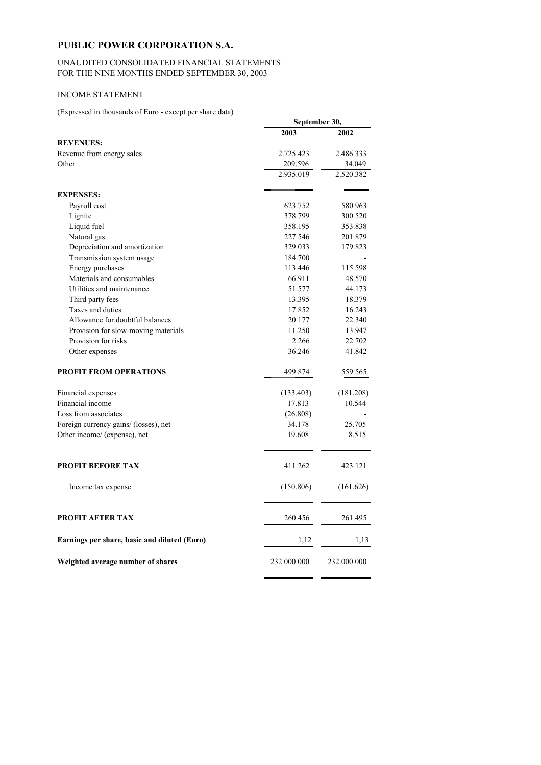# **PUBLIC POWER CORPORATION S.A.**

#### UNAUDITED CONSOLIDATED FINANCIAL STATEMENTS FOR THE NINE MONTHS ENDED SEPTEMBER 30, 2003

### INCOME STATEMENT

(Expressed in thousands of Euro - except per share data)

|                                              |             | September 30, |  |
|----------------------------------------------|-------------|---------------|--|
|                                              | 2003        | 2002          |  |
| <b>REVENUES:</b>                             |             |               |  |
| Revenue from energy sales                    | 2.725.423   | 2.486.333     |  |
| Other                                        | 209.596     | 34.049        |  |
|                                              | 2.935.019   | 2.520.382     |  |
| <b>EXPENSES:</b>                             |             |               |  |
| Payroll cost                                 | 623.752     | 580.963       |  |
| Lignite                                      | 378.799     | 300.520       |  |
| Liquid fuel                                  | 358.195     | 353.838       |  |
| Natural gas                                  | 227.546     | 201.879       |  |
| Depreciation and amortization                | 329.033     | 179.823       |  |
| Transmission system usage                    | 184.700     |               |  |
| Energy purchases                             | 113.446     | 115.598       |  |
| Materials and consumables                    | 66.911      | 48.570        |  |
| Utilities and maintenance                    | 51.577      | 44.173        |  |
| Third party fees                             | 13.395      | 18.379        |  |
| Taxes and duties                             | 17.852      | 16.243        |  |
| Allowance for doubtful balances              | 20.177      | 22.340        |  |
| Provision for slow-moving materials          | 11.250      | 13.947        |  |
| Provision for risks                          | 2.266       | 22.702        |  |
| Other expenses                               | 36.246      | 41.842        |  |
| <b>PROFIT FROM OPERATIONS</b>                | 499.874     | 559.565       |  |
| Financial expenses                           | (133.403)   | (181.208)     |  |
| Financial income                             | 17.813      | 10.544        |  |
| Loss from associates                         | (26.808)    |               |  |
| Foreign currency gains/ (losses), net        | 34.178      | 25.705        |  |
| Other income/ (expense), net                 | 19.608      | 8.515         |  |
|                                              |             |               |  |
| <b>PROFIT BEFORE TAX</b>                     | 411.262     | 423.121       |  |
| Income tax expense                           | (150.806)   | (161.626)     |  |
| <b>PROFIT AFTER TAX</b>                      | 260.456     | 261.495       |  |
| Earnings per share, basic and diluted (Euro) | 1,12        | 1,13          |  |
| Weighted average number of shares            | 232.000.000 | 232.000.000   |  |

i i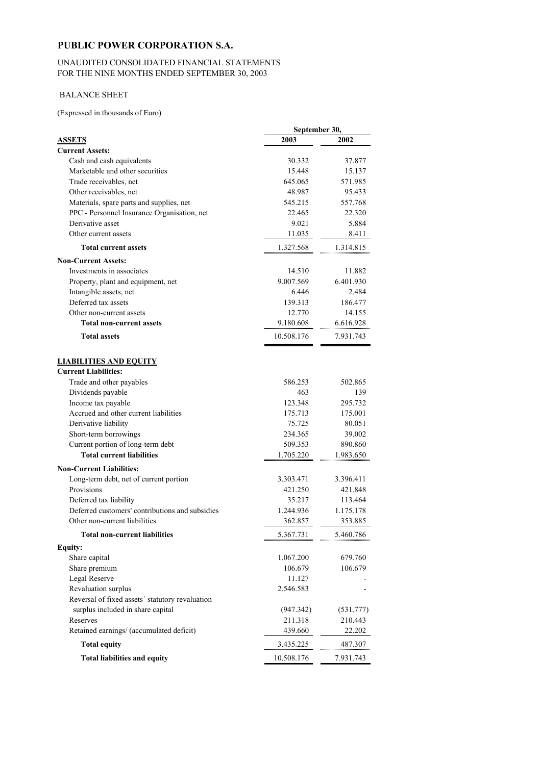# **PUBLIC POWER CORPORATION S.A.**

#### UNAUDITED CONSOLIDATED FINANCIAL STATEMENTS FOR THE NINE MONTHS ENDED SEPTEMBER 30, 2003

### BALANCE SHEET

(Expressed in thousands of Euro)

|                                                 | September 30, |           |
|-------------------------------------------------|---------------|-----------|
| <b>ASSETS</b>                                   | 2003          | 2002      |
| <b>Current Assets:</b>                          |               |           |
| Cash and cash equivalents                       | 30.332        | 37.877    |
| Marketable and other securities                 | 15.448        | 15.137    |
| Trade receivables, net                          | 645.065       | 571.985   |
| Other receivables, net                          | 48.987        | 95.433    |
| Materials, spare parts and supplies, net        | 545.215       | 557.768   |
| PPC - Personnel Insurance Organisation, net     | 22.465        | 22.320    |
| Derivative asset                                | 9.021         | 5.884     |
| Other current assets                            | 11.035        | 8.411     |
| <b>Total current assets</b>                     | 1.327.568     | 1.314.815 |
| <b>Non-Current Assets:</b>                      |               |           |
| Investments in associates                       | 14.510        | 11.882    |
| Property, plant and equipment, net              | 9.007.569     | 6.401.930 |
| Intangible assets, net                          | 6.446         | 2.484     |
| Deferred tax assets                             | 139.313       | 186.477   |
| Other non-current assets                        | 12.770        | 14.155    |
| <b>Total non-current assets</b>                 | 9.180.608     | 6.616.928 |
| <b>Total assets</b>                             | 10.508.176    | 7.931.743 |
|                                                 |               |           |
| <b>LIABILITIES AND EQUITY</b>                   |               |           |
| <b>Current Liabilities:</b>                     |               |           |
| Trade and other payables                        | 586.253       | 502.865   |
| Dividends payable                               | 463           | 139       |
| Income tax payable                              | 123.348       | 295.732   |
| Accrued and other current liabilities           | 175.713       | 175.001   |
| Derivative liability                            | 75.725        | 80.051    |
| Short-term borrowings                           | 234.365       | 39.002    |
| Current portion of long-term debt               | 509.353       | 890.860   |
| <b>Total current liabilities</b>                | 1.705.220     | 1.983.650 |
| <b>Non-Current Liabilities:</b>                 |               |           |
| Long-term debt, net of current portion          | 3.303.471     | 3.396.411 |
| Provisions                                      | 421.250       | 421.848   |
| Deferred tax liability                          | 35.217        | 113.464   |
| Deferred customers' contributions and subsidies | 1.244.936     | 1.175.178 |
| Other non-current liabilities                   | 362.857       | 353.885   |
| <b>Total non-current liabilities</b>            | 5.367.731     | 5.460.786 |
| <b>Equity:</b>                                  |               |           |
| Share capital                                   | 1.067.200     | 679.760   |
| Share premium                                   | 106.679       | 106.679   |
| Legal Reserve                                   | 11.127        |           |
| Revaluation surplus                             | 2.546.583     |           |
| Reversal of fixed assets' statutory revaluation |               |           |
| surplus included in share capital               | (947.342)     | (531.777) |
| Reserves                                        | 211.318       | 210.443   |
| Retained earnings/ (accumulated deficit)        | 439.660       | 22.202    |
| <b>Total equity</b>                             | 3.435.225     | 487.307   |
| <b>Total liabilities and equity</b>             | 10.508.176    | 7.931.743 |